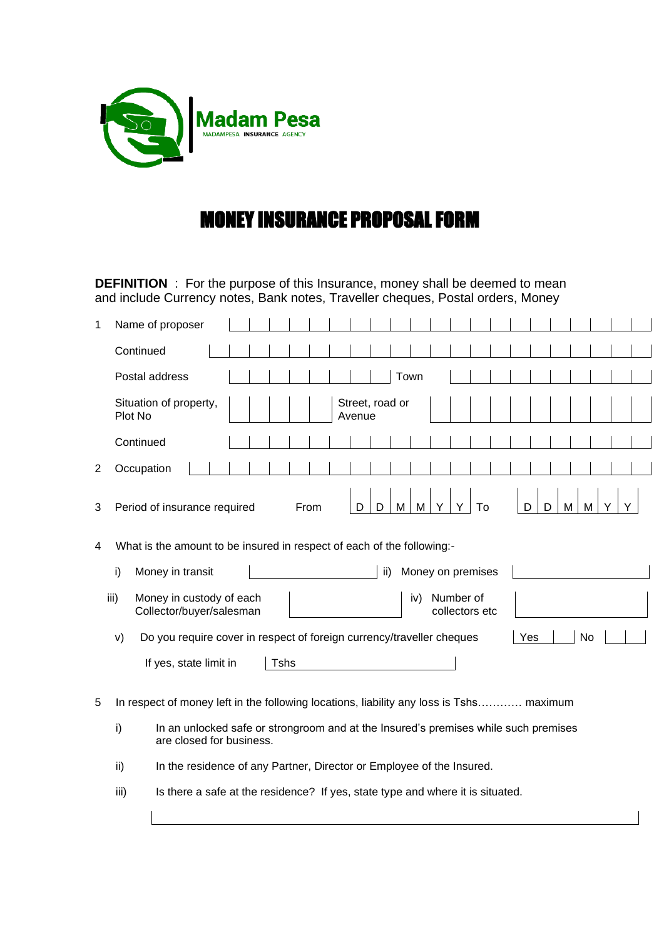

## MONEY INSURANCE PROPOSAL FORM

**DEFINITION** : For the purpose of this Insurance, money shall be deemed to mean and include Currency notes, Bank notes, Traveller cheques, Postal orders, Money

| 1 | Name of proposer                                                                                                      |             |      |        |                 |     |                             |        |    |   |  |
|---|-----------------------------------------------------------------------------------------------------------------------|-------------|------|--------|-----------------|-----|-----------------------------|--------|----|---|--|
|   | Continued                                                                                                             |             |      |        |                 |     |                             |        |    |   |  |
|   | Postal address                                                                                                        |             |      |        | Town            |     |                             |        |    |   |  |
|   | Situation of property,<br>Plot No                                                                                     |             |      | Avenue | Street, road or |     |                             |        |    |   |  |
|   | Continued                                                                                                             |             |      |        |                 |     |                             |        |    |   |  |
| 2 | Occupation                                                                                                            |             |      |        |                 |     |                             |        |    |   |  |
| 3 | Period of insurance required                                                                                          |             | From | D      | D<br>M          | M   | To                          | D<br>D | M  | M |  |
| 4 | What is the amount to be insured in respect of each of the following:-                                                |             |      |        |                 |     |                             |        |    |   |  |
|   | i)<br>Money in transit                                                                                                |             |      |        | ii)             |     | Money on premises           |        |    |   |  |
|   | iii)<br>Money in custody of each<br>Collector/buyer/salesman                                                          |             |      |        |                 | iv) | Number of<br>collectors etc |        |    |   |  |
|   | Do you require cover in respect of foreign currency/traveller cheques<br>V)                                           |             |      |        |                 |     |                             | Yes    | No |   |  |
|   | If yes, state limit in                                                                                                | <b>Tshs</b> |      |        |                 |     |                             |        |    |   |  |
| 5 | In respect of money left in the following locations, liability any loss is Tshs maximum                               |             |      |        |                 |     |                             |        |    |   |  |
|   | In an unlocked safe or strongroom and at the Insured's premises while such premises<br>i)<br>are closed for business. |             |      |        |                 |     |                             |        |    |   |  |
|   | ii)<br>In the residence of any Partner, Director or Employee of the Insured.                                          |             |      |        |                 |     |                             |        |    |   |  |

iii) Is there a safe at the residence? If yes, state type and where it is situated.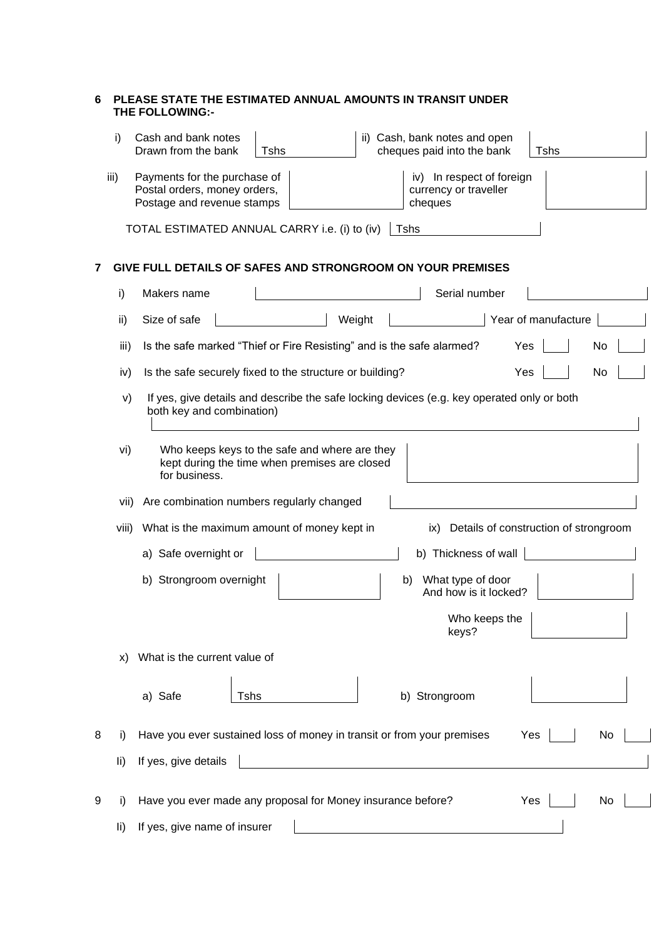| 6 |       | PLEASE STATE THE ESTIMATED ANNUAL AMOUNTS IN TRANSIT UNDER<br><b>THE FOLLOWING:-</b>                                                                        |
|---|-------|-------------------------------------------------------------------------------------------------------------------------------------------------------------|
|   | i)    | Cash and bank notes<br>ii) Cash, bank notes and open<br>Drawn from the bank<br>cheques paid into the bank<br>Tshs<br>Tshs                                   |
|   | iii)  | Payments for the purchase of<br>iv) In respect of foreign<br>Postal orders, money orders,<br>currency or traveller<br>Postage and revenue stamps<br>cheques |
|   |       | TOTAL ESTIMATED ANNUAL CARRY i.e. (i) to (iv)<br>Tshs                                                                                                       |
|   |       | GIVE FULL DETAILS OF SAFES AND STRONGROOM ON YOUR PREMISES                                                                                                  |
|   | i)    | Serial number<br>Makers name                                                                                                                                |
|   | ii)   | Year of manufacture<br>Weight<br>Size of safe                                                                                                               |
|   | iii)  | Is the safe marked "Thief or Fire Resisting" and is the safe alarmed?<br>Yes<br>No                                                                          |
|   | iv)   | Is the safe securely fixed to the structure or building?<br>Yes<br>No                                                                                       |
|   | V)    | If yes, give details and describe the safe locking devices (e.g. key operated only or both<br>both key and combination)                                     |
|   | vi)   | Who keeps keys to the safe and where are they<br>kept during the time when premises are closed<br>for business.                                             |
|   | vii)  | Are combination numbers regularly changed                                                                                                                   |
|   | viii) | What is the maximum amount of money kept in<br>ix) Details of construction of strongroom                                                                    |
|   |       | b) Thickness of wall<br>a) Safe overnight or                                                                                                                |
|   |       | b) Strongroom overnight<br>What type of door<br>b)<br>And how is it locked?                                                                                 |
|   |       | Who keeps the<br>keys?                                                                                                                                      |
|   | X)    | What is the current value of                                                                                                                                |
|   |       | b) Strongroom<br>a) Safe<br>Tshs                                                                                                                            |
| 8 | I)    | Have you ever sustained loss of money in transit or from your premises<br>Yes<br>No                                                                         |
|   | li)   | If yes, give details                                                                                                                                        |
| 9 | I)    | Have you ever made any proposal for Money insurance before?<br>Yes<br>No                                                                                    |
|   | li)   | If yes, give name of insurer                                                                                                                                |